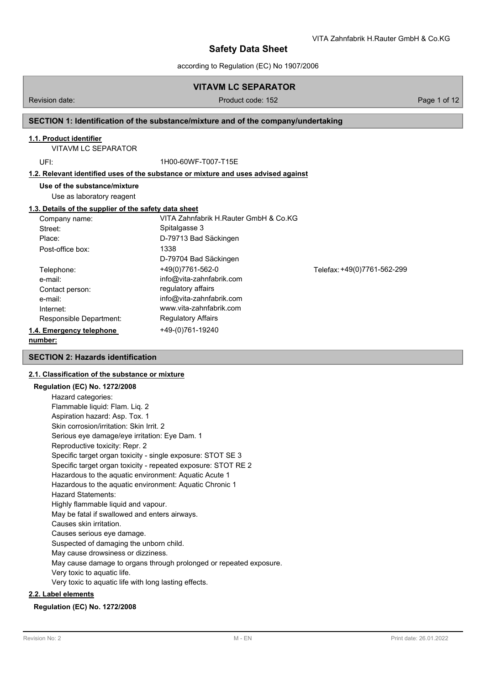## **VITAVM LC SEPARATOR**

### Revision date: Product code: 152 Page 1 of 12

VITA Zahnfabrik H.Rauter GmbH & Co.KG

## **SECTION 1: Identification of the substance/mixture and of the company/undertaking**

## **1.1. Product identifier**

VITAVM LC SEPARATOR

UFI: 1H00-60WF-T007-T15E

## **1.2. Relevant identified uses of the substance or mixture and uses advised against**

**Use of the substance/mixture**

Use as laboratory reagent

### **1.3. Details of the supplier of the safety data sheet**

| Company name:            | VITA Zahnfabrik H.Rauter GmbH & Co.KG |                             |
|--------------------------|---------------------------------------|-----------------------------|
| Street:                  | Spitalgasse 3                         |                             |
| Place:                   | D-79713 Bad Säckingen                 |                             |
| Post-office box:         | 1338                                  |                             |
|                          | D-79704 Bad Säckingen                 |                             |
| Telephone:               | +49(0)7761-562-0                      | Telefax: +49(0)7761-562-299 |
| e-mail:                  | info@vita-zahnfabrik.com              |                             |
| Contact person:          | regulatory affairs                    |                             |
| e-mail:                  | info@vita-zahnfabrik.com              |                             |
| Internet:                | www.vita-zahnfabrik.com               |                             |
| Responsible Department:  | <b>Regulatory Affairs</b>             |                             |
| 1.4. Emergency telephone | +49-(0)761-19240                      |                             |
|                          |                                       |                             |

#### **number:**

## **SECTION 2: Hazards identification**

## **2.1. Classification of the substance or mixture**

| <b>Regulation (EC) No. 1272/2008</b>                               |
|--------------------------------------------------------------------|
| Hazard categories:                                                 |
| Flammable liquid: Flam. Liq. 2                                     |
| Aspiration hazard: Asp. Tox. 1                                     |
| Skin corrosion/irritation: Skin Irrit. 2                           |
| Serious eye damage/eye irritation: Eye Dam. 1                      |
| Reproductive toxicity: Repr. 2                                     |
| Specific target organ toxicity - single exposure: STOT SE 3        |
| Specific target organ toxicity - repeated exposure: STOT RE 2      |
| Hazardous to the aquatic environment: Aquatic Acute 1              |
| Hazardous to the aquatic environment: Aquatic Chronic 1            |
| <b>Hazard Statements:</b>                                          |
| Highly flammable liquid and vapour.                                |
| May be fatal if swallowed and enters airways.                      |
| Causes skin irritation.                                            |
| Causes serious eye damage.                                         |
| Suspected of damaging the unborn child.                            |
| May cause drowsiness or dizziness.                                 |
| May cause damage to organs through prolonged or repeated exposure. |
| Very toxic to aquatic life.                                        |
| Very toxic to aquatic life with long lasting effects.              |
|                                                                    |

## **2.2. Label elements**

### **Regulation (EC) No. 1272/2008**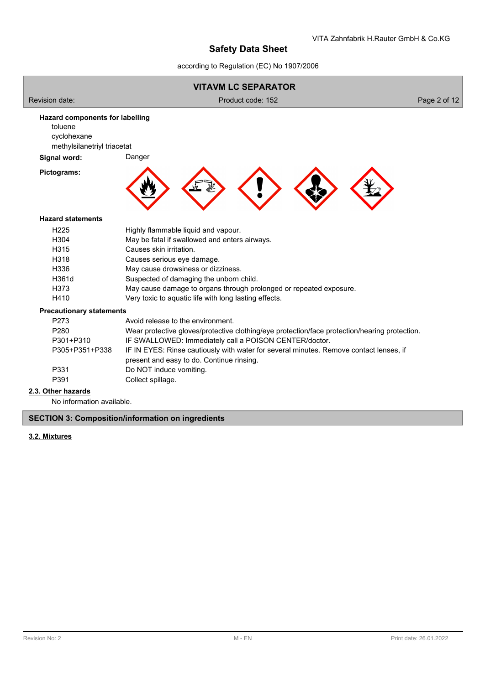according to Regulation (EC) No 1907/2006



No information available.

**SECTION 3: Composition/information on ingredients**

## **3.2. Mixtures**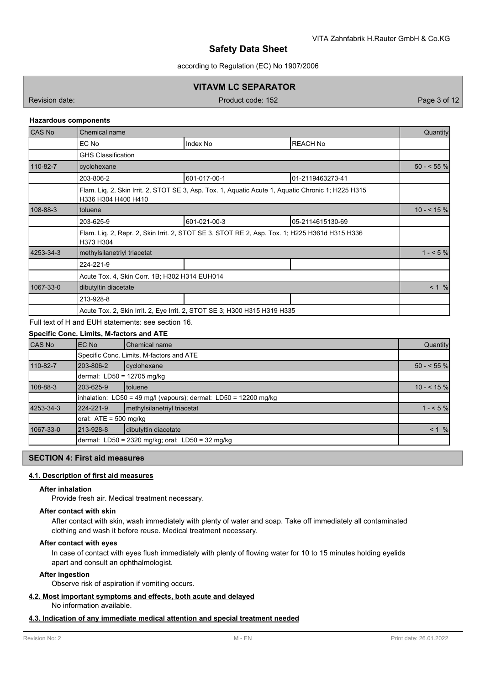according to Regulation (EC) No 1907/2006

## **VITAVM LC SEPARATOR**

Revision date: Product code: 152 Page 3 of 12

### **Hazardous components**

| <b>CAS No</b> | Chemical name                                                                                                             |              |                  |             |  |
|---------------|---------------------------------------------------------------------------------------------------------------------------|--------------|------------------|-------------|--|
|               | EC No                                                                                                                     | Index No     | <b>REACH No</b>  |             |  |
|               | <b>GHS Classification</b>                                                                                                 |              |                  |             |  |
| 110-82-7      | cyclohexane                                                                                                               |              |                  | $50 - 55\%$ |  |
|               | 203-806-2                                                                                                                 | 601-017-00-1 | 01-2119463273-41 |             |  |
|               | Flam. Lig. 2, Skin Irrit. 2, STOT SE 3, Asp. Tox. 1, Aguatic Acute 1, Aguatic Chronic 1; H225 H315<br>H336 H304 H400 H410 |              |                  |             |  |
| 108-88-3      | toluene                                                                                                                   |              |                  |             |  |
|               | 203-625-9                                                                                                                 | 601-021-00-3 | 05-2114615130-69 |             |  |
|               | Flam. Lig. 2, Repr. 2, Skin Irrit. 2, STOT SE 3, STOT RE 2, Asp. Tox. 1; H225 H361d H315 H336<br>H373 H304                |              |                  |             |  |
| 4253-34-3     | methylsilanetriyl triacetat                                                                                               | $1 - 5%$     |                  |             |  |
|               | 224-221-9                                                                                                                 |              |                  |             |  |
|               | Acute Tox. 4, Skin Corr. 1B; H302 H314 EUH014                                                                             |              |                  |             |  |
| 1067-33-0     | dibutyltin diacetate                                                                                                      |              |                  |             |  |
|               | 213-928-8                                                                                                                 |              |                  |             |  |
|               | Acute Tox. 2, Skin Irrit. 2, Eye Irrit. 2, STOT SE 3; H300 H315 H319 H335                                                 |              |                  |             |  |
|               |                                                                                                                           |              |                  |             |  |

Full text of H and EUH statements: see section 16.

## **Specific Conc. Limits, M-factors and ATE**

| <b>CAS No</b> | EC No                                                                | <b>Chemical name</b>                             | Quantity    |  |  |  |
|---------------|----------------------------------------------------------------------|--------------------------------------------------|-------------|--|--|--|
|               |                                                                      | Specific Conc. Limits, M-factors and ATE         |             |  |  |  |
| 110-82-7      | 203-806-2                                                            | cyclohexane                                      | $50 - 55$ % |  |  |  |
|               |                                                                      | dermal: LD50 = 12705 mg/kg                       |             |  |  |  |
| 108-88-3      | 203-625-9                                                            | <b>Itoluene</b>                                  | $10 - 55$ % |  |  |  |
|               | inhalation: $LC50 = 49$ mg/l (vapours); dermal: $LD50 = 12200$ mg/kg |                                                  |             |  |  |  |
| 4253-34-3     | 224-221-9                                                            | methylsilanetriyl triacetat                      | $1 - 5%$    |  |  |  |
|               | oral: $ATE = 500$ mg/kg                                              |                                                  |             |  |  |  |
| 1067-33-0     | 213-928-8                                                            | dibutyltin diacetate                             | $< 1 \%$    |  |  |  |
|               |                                                                      | dermal: LD50 = 2320 mg/kg; oral: LD50 = 32 mg/kg |             |  |  |  |

## **SECTION 4: First aid measures**

### **4.1. Description of first aid measures**

### **After inhalation**

Provide fresh air. Medical treatment necessary.

#### **After contact with skin**

After contact with skin, wash immediately with plenty of water and soap. Take off immediately all contaminated clothing and wash it before reuse. Medical treatment necessary.

#### **After contact with eyes**

In case of contact with eyes flush immediately with plenty of flowing water for 10 to 15 minutes holding eyelids apart and consult an ophthalmologist.

### **After ingestion**

Observe risk of aspiration if vomiting occurs.

#### **4.2. Most important symptoms and effects, both acute and delayed**

No information available.

## **4.3. Indication of any immediate medical attention and special treatment needed**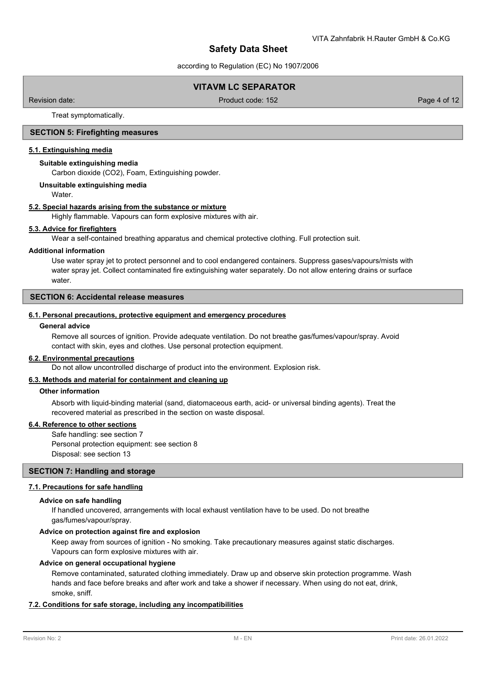according to Regulation (EC) No 1907/2006

## **VITAVM LC SEPARATOR**

Revision date: Product code: 152 Page 4 of 12

Treat symptomatically.

## **SECTION 5: Firefighting measures**

#### **5.1. Extinguishing media**

#### **Suitable extinguishing media**

Carbon dioxide (CO2), Foam, Extinguishing powder.

#### **Unsuitable extinguishing media**

Water.

#### **5.2. Special hazards arising from the substance or mixture**

Highly flammable. Vapours can form explosive mixtures with air.

#### **5.3. Advice for firefighters**

Wear a self-contained breathing apparatus and chemical protective clothing. Full protection suit.

#### **Additional information**

Use water spray jet to protect personnel and to cool endangered containers. Suppress gases/vapours/mists with water spray jet. Collect contaminated fire extinguishing water separately. Do not allow entering drains or surface water.

## **SECTION 6: Accidental release measures**

#### **6.1. Personal precautions, protective equipment and emergency procedures**

### **General advice**

Remove all sources of ignition. Provide adequate ventilation. Do not breathe gas/fumes/vapour/spray. Avoid contact with skin, eyes and clothes. Use personal protection equipment.

#### **6.2. Environmental precautions**

Do not allow uncontrolled discharge of product into the environment. Explosion risk.

### **6.3. Methods and material for containment and cleaning up**

#### **Other information**

Absorb with liquid-binding material (sand, diatomaceous earth, acid- or universal binding agents). Treat the recovered material as prescribed in the section on waste disposal.

### **6.4. Reference to other sections**

Safe handling: see section 7 Personal protection equipment: see section 8 Disposal: see section 13

## **SECTION 7: Handling and storage**

## **7.1. Precautions for safe handling**

## **Advice on safe handling**

If handled uncovered, arrangements with local exhaust ventilation have to be used. Do not breathe gas/fumes/vapour/spray.

## **Advice on protection against fire and explosion**

Keep away from sources of ignition - No smoking. Take precautionary measures against static discharges. Vapours can form explosive mixtures with air.

#### **Advice on general occupational hygiene**

Remove contaminated, saturated clothing immediately. Draw up and observe skin protection programme. Wash hands and face before breaks and after work and take a shower if necessary. When using do not eat, drink, smoke, sniff.

### **7.2. Conditions for safe storage, including any incompatibilities**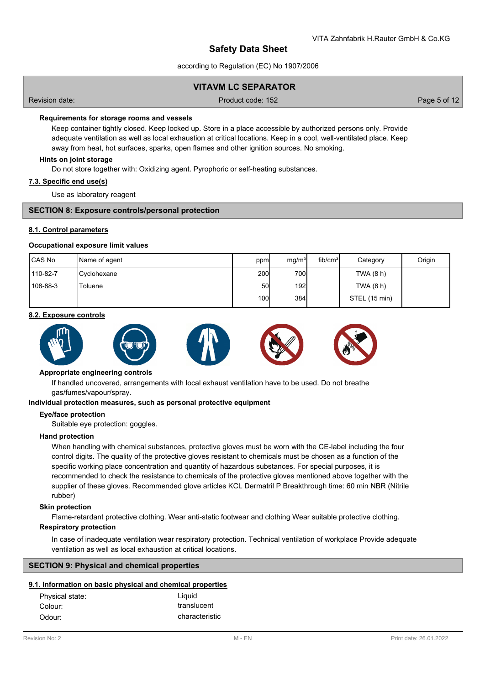according to Regulation (EC) No 1907/2006

## **VITAVM LC SEPARATOR**

Revision date: Product code: 152 Page 5 of 12

### **Requirements for storage rooms and vessels**

Keep container tightly closed. Keep locked up. Store in a place accessible by authorized persons only. Provide adequate ventilation as well as local exhaustion at critical locations. Keep in a cool, well-ventilated place. Keep away from heat, hot surfaces, sparks, open flames and other ignition sources. No smoking.

### **Hints on joint storage**

Do not store together with: Oxidizing agent. Pyrophoric or self-heating substances.

### **7.3. Specific end use(s)**

Use as laboratory reagent

### **SECTION 8: Exposure controls/personal protection**

### **8.1. Control parameters**

#### **Occupational exposure limit values**

| <b>CAS No</b> | Name of agent       | ppm              | mq/m <sup>3</sup> | fib/cm <sup>3</sup> | Category      | Origin |
|---------------|---------------------|------------------|-------------------|---------------------|---------------|--------|
| 110-82-7      | <b>C</b> yclohexane | 200 <sub>l</sub> | 700               |                     | TWA (8 h)     |        |
| 108-88-3      | 'Toluene            | 50I              | 192 <sub>l</sub>  |                     | TWA (8 h)     |        |
|               |                     | 100l             | 384               |                     | STEL (15 min) |        |

## **8.2. Exposure controls**



#### **Appropriate engineering controls**

If handled uncovered, arrangements with local exhaust ventilation have to be used. Do not breathe gas/fumes/vapour/spray.

#### **Individual protection measures, such as personal protective equipment**

#### **Eye/face protection**

Suitable eye protection: goggles.

#### **Hand protection**

When handling with chemical substances, protective gloves must be worn with the CE-label including the four control digits. The quality of the protective gloves resistant to chemicals must be chosen as a function of the specific working place concentration and quantity of hazardous substances. For special purposes, it is recommended to check the resistance to chemicals of the protective gloves mentioned above together with the supplier of these gloves. Recommended glove articles KCL Dermatril P Breakthrough time: 60 min NBR (Nitrile rubber)

## **Skin protection**

Flame-retardant protective clothing. Wear anti-static footwear and clothing Wear suitable protective clothing.

### **Respiratory protection**

In case of inadequate ventilation wear respiratory protection. Technical ventilation of workplace Provide adequate ventilation as well as local exhaustion at critical locations.

## **SECTION 9: Physical and chemical properties**

## **9.1. Information on basic physical and chemical properties**

| Physical state: | Liquid         |
|-----------------|----------------|
| Colour:         | translucent    |
| Odour:          | characteristic |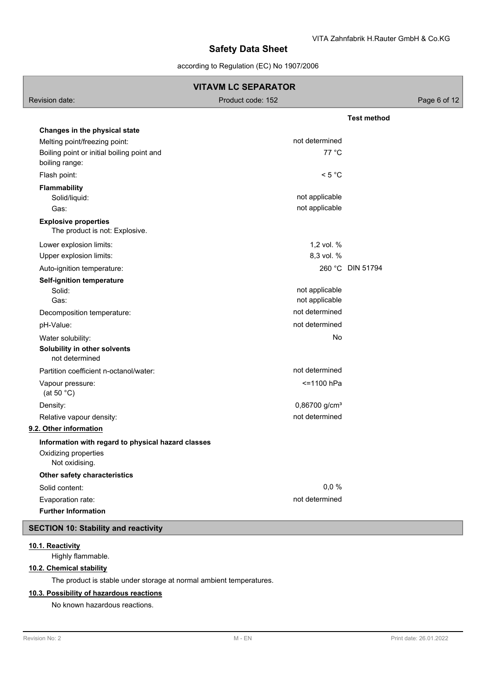according to Regulation (EC) No 1907/2006

| <b>VITAVM LC SEPARATOR</b>                                                                   |                                  |                    |  |  |  |
|----------------------------------------------------------------------------------------------|----------------------------------|--------------------|--|--|--|
| Revision date:                                                                               | Product code: 152                | Page 6 of 12       |  |  |  |
|                                                                                              |                                  | <b>Test method</b> |  |  |  |
| Changes in the physical state                                                                |                                  |                    |  |  |  |
| Melting point/freezing point:                                                                | not determined                   |                    |  |  |  |
| Boiling point or initial boiling point and<br>boiling range:                                 | 77 °C                            |                    |  |  |  |
| Flash point:                                                                                 | < 5 °C                           |                    |  |  |  |
| <b>Flammability</b><br>Solid/liquid:                                                         | not applicable                   |                    |  |  |  |
| Gas:                                                                                         | not applicable                   |                    |  |  |  |
| <b>Explosive properties</b><br>The product is not: Explosive.                                |                                  |                    |  |  |  |
| Lower explosion limits:                                                                      | 1,2 vol. %                       |                    |  |  |  |
| Upper explosion limits:                                                                      | 8,3 vol. %                       |                    |  |  |  |
| Auto-ignition temperature:                                                                   |                                  | 260 °C DIN 51794   |  |  |  |
| Self-ignition temperature<br>Solid:<br>Gas:                                                  | not applicable<br>not applicable |                    |  |  |  |
| Decomposition temperature:                                                                   | not determined                   |                    |  |  |  |
| pH-Value:                                                                                    | not determined                   |                    |  |  |  |
| Water solubility:                                                                            | No                               |                    |  |  |  |
| Solubility in other solvents<br>not determined                                               |                                  |                    |  |  |  |
| Partition coefficient n-octanol/water:                                                       | not determined                   |                    |  |  |  |
| Vapour pressure:<br>(at 50 $°C$ )                                                            | <= 1100 hPa                      |                    |  |  |  |
| Density:                                                                                     | 0,86700 g/cm <sup>3</sup>        |                    |  |  |  |
| Relative vapour density:                                                                     | not determined                   |                    |  |  |  |
| 9.2. Other information                                                                       |                                  |                    |  |  |  |
| Information with regard to physical hazard classes<br>Oxidizing properties<br>Not oxidising. |                                  |                    |  |  |  |
| Other safety characteristics                                                                 |                                  |                    |  |  |  |
| Solid content:                                                                               | 0,0%                             |                    |  |  |  |
| Evaporation rate:                                                                            | not determined                   |                    |  |  |  |
| <b>Further Information</b>                                                                   |                                  |                    |  |  |  |
| <b>SECTION 10: Stability and reactivity</b>                                                  |                                  |                    |  |  |  |

## **10.1. Reactivity**

Highly flammable.

# **10.2. Chemical stability**

The product is stable under storage at normal ambient temperatures.

## **10.3. Possibility of hazardous reactions**

No known hazardous reactions.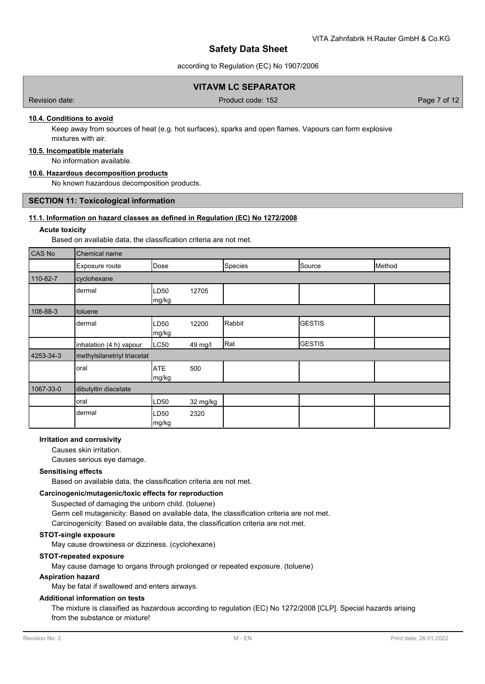according to Regulation (EC) No 1907/2006

## **VITAVM LC SEPARATOR**

Revision date: Product code: 152 Page 7 of 12

## **10.4. Conditions to avoid**

Keep away from sources of heat (e.g. hot surfaces), sparks and open flames. Vapours can form explosive mixtures with air.

#### **10.5. Incompatible materials**

No information available.

### **10.6. Hazardous decomposition products**

No known hazardous decomposition products.

### **SECTION 11: Toxicological information**

## **11.1. Information on hazard classes as defined in Regulation (EC) No 1272/2008**

### **Acute toxicity**

Based on available data, the classification criteria are not met.

| CAS No    | Chemical name               |                           |          |         |                |        |
|-----------|-----------------------------|---------------------------|----------|---------|----------------|--------|
|           | Exposure route              | Dose                      |          | Species | Source         | Method |
| 110-82-7  | cyclohexane                 |                           |          |         |                |        |
|           | dermal                      | LD <sub>50</sub><br>mg/kg | 12705    |         |                |        |
| 108-88-3  | toluene                     |                           |          |         |                |        |
|           | dermal                      | LD <sub>50</sub><br>mg/kg | 12200    | Rabbit  | <b>IGESTIS</b> |        |
|           | inhalation (4 h) vapour     | LC50                      | 49 mg/l  | Rat     | <b>GESTIS</b>  |        |
| 4253-34-3 | methylsilanetriyl triacetat |                           |          |         |                |        |
|           | oral                        | <b>ATE</b><br>mg/kg       | 500      |         |                |        |
| 1067-33-0 | dibutyltin diacetate        |                           |          |         |                |        |
|           | oral                        | LD <sub>50</sub>          | 32 mg/kg |         |                |        |
|           | dermal                      | LD <sub>50</sub><br>mg/kg | 2320     |         |                |        |

### **Irritation and corrosivity**

Causes skin irritation.

Causes serious eye damage.

### **Sensitising effects**

Based on available data, the classification criteria are not met.

#### **Carcinogenic/mutagenic/toxic effects for reproduction**

Suspected of damaging the unborn child. (toluene) Germ cell mutagenicity: Based on available data, the classification criteria are not met. Carcinogenicity: Based on available data, the classification criteria are not met.

## **STOT-single exposure**

May cause drowsiness or dizziness. (cyclohexane)

#### **STOT-repeated exposure**

May cause damage to organs through prolonged or repeated exposure. (toluene)

### **Aspiration hazard**

May be fatal if swallowed and enters airways.

#### **Additional information on tests**

The mixture is classified as hazardous according to regulation (EC) No 1272/2008 [CLP]. Special hazards arising from the substance or mixture!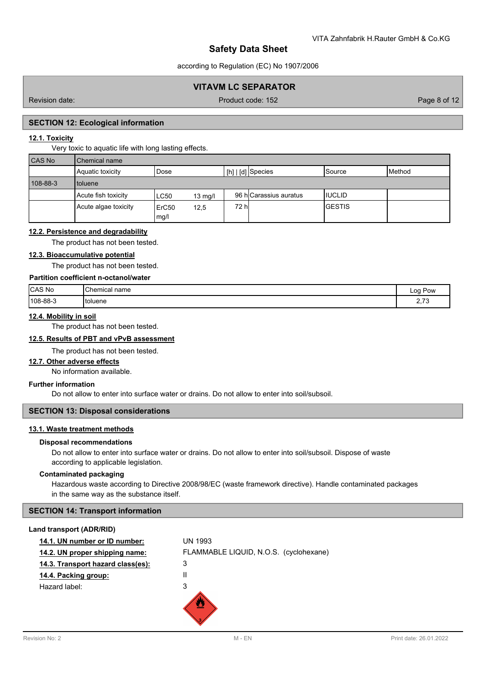according to Regulation (EC) No 1907/2006

## **VITAVM LC SEPARATOR**

Revision date: Product code: 152 Page 8 of 12

## **SECTION 12: Ecological information**

### **12.1. Toxicity**

Very toxic to aquatic life with long lasting effects.

| <b>CAS No</b> | Chemical name        |                                   |                        |         |        |  |  |
|---------------|----------------------|-----------------------------------|------------------------|---------|--------|--|--|
|               | Aquatic toxicity     | Dose                              | $[h]   [d]$ Species    | lSource | Method |  |  |
| 108-88-3      | I toluene            |                                   |                        |         |        |  |  |
|               | Acute fish toxicity  | LC50<br>$13 \text{ mg/l}$         | 96 hlCarassius auratus | IIUCLID |        |  |  |
|               | Acute algae toxicity | ErC <sub>50</sub><br>12,5<br>mg/l | 72 hl                  | IGESTIS |        |  |  |

## **12.2. Persistence and degradability**

The product has not been tested.

## **12.3. Bioaccumulative potential**

The product has not been tested.

## **Partition coefficient n-octanol/water**

| CAS No   | <b>'Chemical</b><br>name | Lod<br>Pow             |
|----------|--------------------------|------------------------|
| 108-88-3 | `†oluene                 | $\overline{z}$<br>ں ہے |

## **12.4. Mobility in soil**

The product has not been tested.

### **12.5. Results of PBT and vPvB assessment**

The product has not been tested.

#### **12.7. Other adverse effects**

No information available.

## **Further information**

Do not allow to enter into surface water or drains. Do not allow to enter into soil/subsoil.

## **SECTION 13: Disposal considerations**

## **13.1. Waste treatment methods**

#### **Disposal recommendations**

Do not allow to enter into surface water or drains. Do not allow to enter into soil/subsoil. Dispose of waste according to applicable legislation.

#### **Contaminated packaging**

Hazardous waste according to Directive 2008/98/EC (waste framework directive). Handle contaminated packages in the same way as the substance itself.

### **SECTION 14: Transport information**

#### **Land transport (ADR/RID)**

| 14.1. UN number or ID number:     | <b>UN 1993</b>                         |
|-----------------------------------|----------------------------------------|
| 14.2. UN proper shipping name:    | FLAMMABLE LIQUID, N.O.S. (cyclohexane) |
| 14.3. Transport hazard class(es): | 3                                      |
| 14.4. Packing group:              | Ш                                      |
| Hazard label:                     | 3                                      |
|                                   |                                        |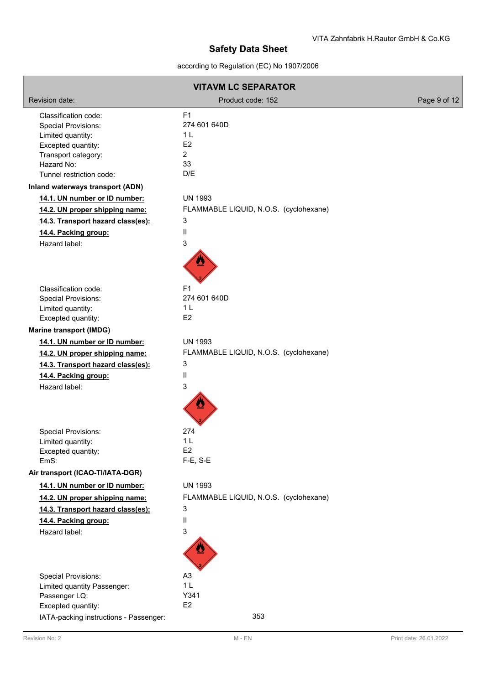according to Regulation (EC) No 1907/2006

| <b>VITAVM LC SEPARATOR</b>               |                                        |              |  |  |
|------------------------------------------|----------------------------------------|--------------|--|--|
| Revision date:                           | Product code: 152                      | Page 9 of 12 |  |  |
| Classification code:                     | F <sub>1</sub>                         |              |  |  |
| <b>Special Provisions:</b>               | 274 601 640D                           |              |  |  |
| Limited quantity:                        | 1 <sub>L</sub>                         |              |  |  |
| Excepted quantity:                       | E2<br>$\overline{a}$                   |              |  |  |
| Transport category:<br>Hazard No:        | 33                                     |              |  |  |
| Tunnel restriction code:                 | D/E                                    |              |  |  |
| Inland waterways transport (ADN)         |                                        |              |  |  |
| 14.1. UN number or ID number:            | <b>UN 1993</b>                         |              |  |  |
| 14.2. UN proper shipping name:           | FLAMMABLE LIQUID, N.O.S. (cyclohexane) |              |  |  |
| 14.3. Transport hazard class(es):        | 3                                      |              |  |  |
| 14.4. Packing group:                     | Ш                                      |              |  |  |
| Hazard label:                            | 3                                      |              |  |  |
|                                          |                                        |              |  |  |
| Classification code:                     | F <sub>1</sub>                         |              |  |  |
| <b>Special Provisions:</b>               | 274 601 640D                           |              |  |  |
| Limited quantity:                        | 1 <sub>L</sub>                         |              |  |  |
| Excepted quantity:                       | E2                                     |              |  |  |
| <b>Marine transport (IMDG)</b>           |                                        |              |  |  |
| 14.1. UN number or ID number:            | <b>UN 1993</b>                         |              |  |  |
| 14.2. UN proper shipping name:           | FLAMMABLE LIQUID, N.O.S. (cyclohexane) |              |  |  |
| 14.3. Transport hazard class(es):        | 3                                      |              |  |  |
| 14.4. Packing group:                     | Ш                                      |              |  |  |
| Hazard label:                            | 3                                      |              |  |  |
|                                          |                                        |              |  |  |
| <b>Special Provisions:</b>               | 274                                    |              |  |  |
| Limited quantity:                        | 1 <sub>L</sub>                         |              |  |  |
| Excepted quantity:                       | E <sub>2</sub>                         |              |  |  |
| EmS:<br>Air transport (ICAO-TI/IATA-DGR) | $F-E$ , S-E                            |              |  |  |
| 14.1. UN number or ID number:            | <b>UN 1993</b>                         |              |  |  |
|                                          | FLAMMABLE LIQUID, N.O.S. (cyclohexane) |              |  |  |
| 14.2. UN proper shipping name:           | 3                                      |              |  |  |
| 14.3. Transport hazard class(es):        |                                        |              |  |  |
| 14.4. Packing group:                     | Ш                                      |              |  |  |
| Hazard label:                            | 3                                      |              |  |  |
|                                          |                                        |              |  |  |
| <b>Special Provisions:</b>               | A3                                     |              |  |  |
| Limited quantity Passenger:              | 1 <sub>L</sub>                         |              |  |  |
| Passenger LQ:                            | Y341                                   |              |  |  |
| Excepted quantity:                       | E <sub>2</sub>                         |              |  |  |
| IATA-packing instructions - Passenger:   | 353                                    |              |  |  |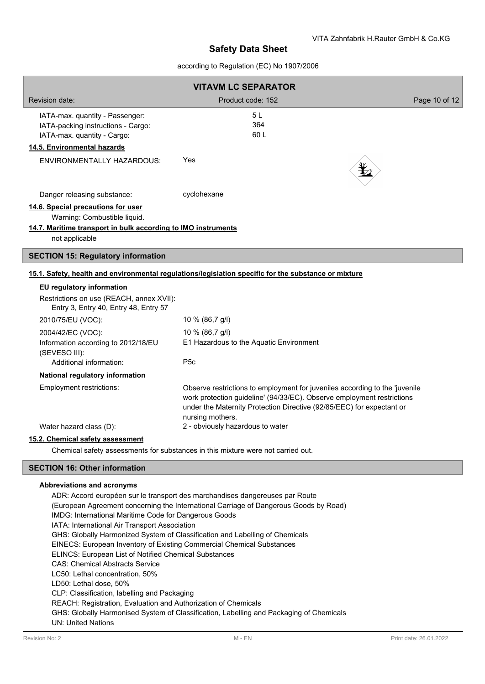## according to Regulation (EC) No 1907/2006

| <b>VITAVM LC SEPARATOR</b>                                                                                                                            |                                                                                                                                                                                                                                                    |               |
|-------------------------------------------------------------------------------------------------------------------------------------------------------|----------------------------------------------------------------------------------------------------------------------------------------------------------------------------------------------------------------------------------------------------|---------------|
| <b>Revision date:</b>                                                                                                                                 | Product code: 152                                                                                                                                                                                                                                  | Page 10 of 12 |
| IATA-max. quantity - Passenger:<br>IATA-packing instructions - Cargo:<br>IATA-max. quantity - Cargo:<br>14.5. Environmental hazards                   | 5 L<br>364<br>60L                                                                                                                                                                                                                                  |               |
| <b>ENVIRONMENTALLY HAZARDOUS:</b>                                                                                                                     | Yes                                                                                                                                                                                                                                                |               |
| Danger releasing substance:                                                                                                                           | cyclohexane                                                                                                                                                                                                                                        |               |
| 14.6. Special precautions for user<br>Warning: Combustible liquid.<br>14.7. Maritime transport in bulk according to IMO instruments<br>not applicable |                                                                                                                                                                                                                                                    |               |
| <b>SECTION 15: Regulatory information</b>                                                                                                             |                                                                                                                                                                                                                                                    |               |
| EU regulatory information                                                                                                                             | 15.1. Safety, health and environmental regulations/legislation specific for the substance or mixture                                                                                                                                               |               |
| Restrictions on use (REACH, annex XVII):<br>Entry 3, Entry 40, Entry 48, Entry 57                                                                     |                                                                                                                                                                                                                                                    |               |
| 2010/75/EU (VOC):                                                                                                                                     | 10 % (86,7 g/l)                                                                                                                                                                                                                                    |               |
| 2004/42/EC (VOC):<br>Information according to 2012/18/EU<br>(SEVESO III):<br>Additional information:                                                  | 10 % (86,7 g/l)<br>E1 Hazardous to the Aquatic Environment<br>P <sub>5</sub> c                                                                                                                                                                     |               |
| National regulatory information                                                                                                                       |                                                                                                                                                                                                                                                    |               |
| Employment restrictions:                                                                                                                              | Observe restrictions to employment for juveniles according to the 'juvenile<br>work protection guideline' (94/33/EC). Observe employment restrictions<br>under the Maternity Protection Directive (92/85/EEC) for expectant or<br>nursing mothers. |               |
| Water hazard class (D):                                                                                                                               | 2 - obviously hazardous to water                                                                                                                                                                                                                   |               |
| 15.2. Chemical safety assessment                                                                                                                      | Chemical safety assessments for substances in this mixture were not carried out.                                                                                                                                                                   |               |
| <b>SECTION 16: Other information</b>                                                                                                                  |                                                                                                                                                                                                                                                    |               |
|                                                                                                                                                       |                                                                                                                                                                                                                                                    |               |

### **Abbreviations and acronyms**

ADR: Accord européen sur le transport des marchandises dangereuses par Route (European Agreement concerning the International Carriage of Dangerous Goods by Road) IMDG: International Maritime Code for Dangerous Goods IATA: International Air Transport Association GHS: Globally Harmonized System of Classification and Labelling of Chemicals EINECS: European Inventory of Existing Commercial Chemical Substances ELINCS: European List of Notified Chemical Substances CAS: Chemical Abstracts Service LC50: Lethal concentration, 50% LD50: Lethal dose, 50% CLP: Classification, labelling and Packaging REACH: Registration, Evaluation and Authorization of Chemicals GHS: Globally Harmonised System of Classification, Labelling and Packaging of Chemicals UN: United Nations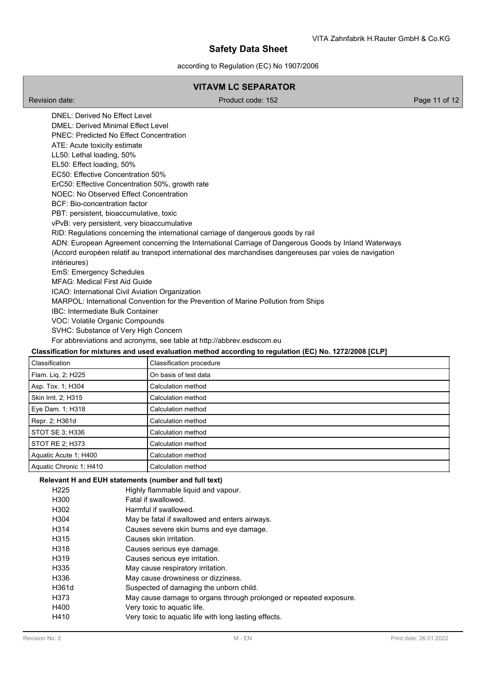according to Regulation (EC) No 1907/2006

## **VITAVM LC SEPARATOR**

Revision date: Product code: 152 Page 11 of 12

DNEL: Derived No Effect Level DMEL: Derived Minimal Effect Level PNEC: Predicted No Effect Concentration ATE: Acute toxicity estimate LL50: Lethal loading, 50% EL50: Effect loading, 50% EC50: Effective Concentration 50% ErC50: Effective Concentration 50%, growth rate NOEC: No Observed Effect Concentration BCF: Bio-concentration factor PBT: persistent, bioaccumulative, toxic vPvB: very persistent, very bioaccumulative RID: Regulations concerning the international carriage of dangerous goods by rail ADN: European Agreement concerning the International Carriage of Dangerous Goods by Inland Waterways (Accord européen relatif au transport international des marchandises dangereuses par voies de navigation intérieures) EmS: Emergency Schedules MFAG: Medical First Aid Guide ICAO: International Civil Aviation Organization MARPOL: International Convention for the Prevention of Marine Pollution from Ships IBC: Intermediate Bulk Container VOC: Volatile Organic Compounds SVHC: Substance of Very High Concern For abbreviations and acronyms, see table at http://abbrev.esdscom.eu **Classification for mixtures and used evaluation method according to regulation (EC) No. 1272/2008 [CLP]**

# Classification Classification procedure Flam. Lig. 2; H225 **On basis of test data** Asp. Tox. 1; H304 Calculation method Skin Irrit. 2; H315 Calculation method Eye Dam. 1; H318 Calculation method Repr. 2; H361d Calculation method STOT SE 3; H336 Calculation method STOT RE 2; H373 Calculation method Aquatic Acute 1; H400 Calculation method Aquatic Chronic 1; H410 Calculation method

## **Relevant H and EUH statements (number and full text)**

| H225              | Highly flammable liquid and vapour.                                |
|-------------------|--------------------------------------------------------------------|
| H300              | Fatal if swallowed.                                                |
| H302              | Harmful if swallowed.                                              |
| H304              | May be fatal if swallowed and enters airways.                      |
| H314              | Causes severe skin burns and eye damage.                           |
| H315              | Causes skin irritation.                                            |
| H318              | Causes serious eye damage.                                         |
| H <sub>3</sub> 19 | Causes serious eye irritation.                                     |
| H335              | May cause respiratory irritation.                                  |
| H336              | May cause drowsiness or dizziness.                                 |
| H361d             | Suspected of damaging the unborn child.                            |
| H373              | May cause damage to organs through prolonged or repeated exposure. |
| H400              | Very toxic to aquatic life.                                        |
| H410              | Very toxic to aquatic life with long lasting effects.              |